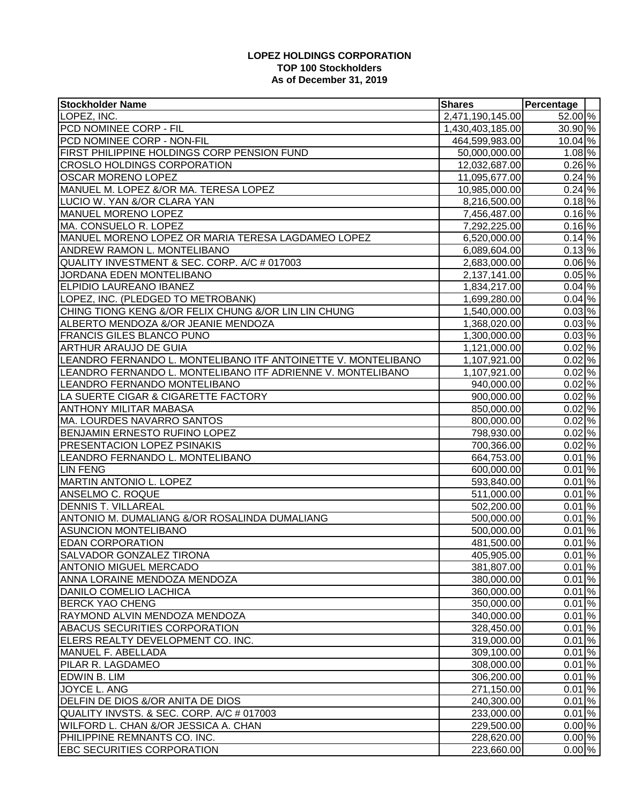## **LOPEZ HOLDINGS CORPORATION TOP 100 Stockholders As of December 31, 2019**

| 52.00 %<br>2,471,190,145.00<br>LOPEZ, INC.<br>30.90 %<br>PCD NOMINEE CORP - FIL<br>1,430,403,185.00<br>$10.04\%$<br>PCD NOMINEE CORP - NON-FIL<br>464,599,983.00<br>$1.08\%$<br>FIRST PHILIPPINE HOLDINGS CORP PENSION FUND<br>50,000,000.00<br>0.26%<br><b>CROSLO HOLDINGS CORPORATION</b><br>12,032,687.00<br>0.24%<br><b>OSCAR MORENO LOPEZ</b><br>11,095,677.00<br>$0.24\%$<br>MANUEL M. LOPEZ &/OR MA. TERESA LOPEZ<br>10,985,000.00<br>$0.18\%$<br>LUCIO W. YAN &/OR CLARA YAN<br>8,216,500.00<br>0.16%<br>MANUEL MORENO LOPEZ<br>7,456,487.00<br>0.16%<br>MA. CONSUELO R. LOPEZ<br>7,292,225.00<br>$0.14\%$<br>MANUEL MORENO LOPEZ OR MARIA TERESA LAGDAMEO LOPEZ<br>6,520,000.00<br>0.13%<br>ANDREW RAMON L. MONTELIBANO<br>6,089,604.00<br>0.06%<br>QUALITY INVESTMENT & SEC. CORP. A/C # 017003<br>2,683,000.00<br>$0.05\%$<br>JORDANA EDEN MONTELIBANO<br>2,137,141.00<br>0.04%<br><b>ELPIDIO LAUREANO IBANEZ</b><br>1,834,217.00<br>$0.04\%$<br>LOPEZ, INC. (PLEDGED TO METROBANK)<br>1,699,280.00<br>0.03%<br>CHING TIONG KENG &/OR FELIX CHUNG &/OR LIN LIN CHUNG<br>1,540,000.00<br>$0.03\%$<br>ALBERTO MENDOZA &/OR JEANIE MENDOZA<br>1,368,020.00<br>$0.03\%$<br><b>FRANCIS GILES BLANCO PUNO</b><br>1,300,000.00<br>0.02%<br><b>ARTHUR ARAUJO DE GUIA</b><br>1,121,000.00<br>0.02%<br>LEANDRO FERNANDO L. MONTELIBANO ITF ANTOINETTE V. MONTELIBANO<br>1,107,921.00<br>$0.02\%$<br>LEANDRO FERNANDO L. MONTELIBANO ITF ADRIENNE V. MONTELIBANO<br>1,107,921.00<br>$0.02\%$<br>LEANDRO FERNANDO MONTELIBANO<br>940,000.00<br>0.02%<br>LA SUERTE CIGAR & CIGARETTE FACTORY<br>900,000.00<br>0.02%<br><b>ANTHONY MILITAR MABASA</b><br>850,000.00<br>$0.02\%$<br>MA. LOURDES NAVARRO SANTOS<br>800,000.00<br>$\overline{0.02}$ %<br>BENJAMIN ERNESTO RUFINO LOPEZ<br>798,930.00<br>0.02%<br>PRESENTACION LOPEZ PSINAKIS<br>700,366.00<br>0.01%<br>LEANDRO FERNANDO L. MONTELIBANO<br>664,753.00<br>0.01%<br><b>LIN FENG</b><br>600,000.00<br>0.01%<br><b>MARTIN ANTONIO L. LOPEZ</b><br>593,840.00<br>$0.01\%$<br>ANSELMO C. ROQUE<br>511,000.00<br>0.01%<br><b>DENNIS T. VILLAREAL</b><br>502,200.00<br>0.01%<br>ANTONIO M. DUMALIANG &/OR ROSALINDA DUMALIANG<br>500,000.00<br>$0.01\%$<br><b>ASUNCION MONTELIBANO</b><br>500,000.00<br>0.01%<br><b>EDAN CORPORATION</b><br>481,500.00<br>$0.01\%$<br><b>SALVADOR GONZALEZ TIRONA</b><br>405,905.00<br>0.01%<br><b>ANTONIO MIGUEL MERCADO</b><br>381,807.00<br>0.01%<br>ANNA LORAINE MENDOZA MENDOZA<br>380,000.00<br>$0.01\%$<br>DANILO COMELIO LACHICA<br>360,000.00<br>$0.01\%$<br><b>BERCK YAO CHENG</b><br>350,000.00<br>$0.01\%$<br>RAYMOND ALVIN MENDOZA MENDOZA<br>340,000.00<br><b>ABACUS SECURITIES CORPORATION</b><br>$0.01\%$<br>328,450.00<br>$0.01\%$<br>ELERS REALTY DEVELOPMENT CO. INC.<br>319,000.00<br>$0.01\%$<br> MANUEL F. ABELLADA<br>309,100.00<br>PILAR R. LAGDAMEO<br>$0.01\%$<br>308,000.00<br>$0.01\%$<br><b>EDWIN B. LIM</b><br>306,200.00<br>JOYCE L. ANG<br>$0.01\%$<br>271,150.00<br>DELFIN DE DIOS &/OR ANITA DE DIOS<br>$0.01\%$<br>240,300.00<br>QUALITY INVSTS. & SEC. CORP. A/C # 017003<br>$0.01\%$<br>233,000.00<br>$0.00\%$<br>WILFORD L. CHAN &/OR JESSICA A. CHAN<br>229,500.00<br>$0.00\%$<br>PHILIPPINE REMNANTS CO. INC.<br>228,620.00<br>$0.00\%$ | <b>Stockholder Name</b>           | <b>Shares</b> | Percentage |  |
|------------------------------------------------------------------------------------------------------------------------------------------------------------------------------------------------------------------------------------------------------------------------------------------------------------------------------------------------------------------------------------------------------------------------------------------------------------------------------------------------------------------------------------------------------------------------------------------------------------------------------------------------------------------------------------------------------------------------------------------------------------------------------------------------------------------------------------------------------------------------------------------------------------------------------------------------------------------------------------------------------------------------------------------------------------------------------------------------------------------------------------------------------------------------------------------------------------------------------------------------------------------------------------------------------------------------------------------------------------------------------------------------------------------------------------------------------------------------------------------------------------------------------------------------------------------------------------------------------------------------------------------------------------------------------------------------------------------------------------------------------------------------------------------------------------------------------------------------------------------------------------------------------------------------------------------------------------------------------------------------------------------------------------------------------------------------------------------------------------------------------------------------------------------------------------------------------------------------------------------------------------------------------------------------------------------------------------------------------------------------------------------------------------------------------------------------------------------------------------------------------------------------------------------------------------------------------------------------------------------------------------------------------------------------------------------------------------------------------------------------------------------------------------------------------------------------------------------------------------------------------------------------------------------------------------------------------------------------------------------------------------------------------------------------------------------------------------------------------------------------------------------------------------------------------------------------------------------------------------------------------------------|-----------------------------------|---------------|------------|--|
|                                                                                                                                                                                                                                                                                                                                                                                                                                                                                                                                                                                                                                                                                                                                                                                                                                                                                                                                                                                                                                                                                                                                                                                                                                                                                                                                                                                                                                                                                                                                                                                                                                                                                                                                                                                                                                                                                                                                                                                                                                                                                                                                                                                                                                                                                                                                                                                                                                                                                                                                                                                                                                                                                                                                                                                                                                                                                                                                                                                                                                                                                                                                                                                                                                                                  |                                   |               |            |  |
|                                                                                                                                                                                                                                                                                                                                                                                                                                                                                                                                                                                                                                                                                                                                                                                                                                                                                                                                                                                                                                                                                                                                                                                                                                                                                                                                                                                                                                                                                                                                                                                                                                                                                                                                                                                                                                                                                                                                                                                                                                                                                                                                                                                                                                                                                                                                                                                                                                                                                                                                                                                                                                                                                                                                                                                                                                                                                                                                                                                                                                                                                                                                                                                                                                                                  |                                   |               |            |  |
|                                                                                                                                                                                                                                                                                                                                                                                                                                                                                                                                                                                                                                                                                                                                                                                                                                                                                                                                                                                                                                                                                                                                                                                                                                                                                                                                                                                                                                                                                                                                                                                                                                                                                                                                                                                                                                                                                                                                                                                                                                                                                                                                                                                                                                                                                                                                                                                                                                                                                                                                                                                                                                                                                                                                                                                                                                                                                                                                                                                                                                                                                                                                                                                                                                                                  |                                   |               |            |  |
|                                                                                                                                                                                                                                                                                                                                                                                                                                                                                                                                                                                                                                                                                                                                                                                                                                                                                                                                                                                                                                                                                                                                                                                                                                                                                                                                                                                                                                                                                                                                                                                                                                                                                                                                                                                                                                                                                                                                                                                                                                                                                                                                                                                                                                                                                                                                                                                                                                                                                                                                                                                                                                                                                                                                                                                                                                                                                                                                                                                                                                                                                                                                                                                                                                                                  |                                   |               |            |  |
|                                                                                                                                                                                                                                                                                                                                                                                                                                                                                                                                                                                                                                                                                                                                                                                                                                                                                                                                                                                                                                                                                                                                                                                                                                                                                                                                                                                                                                                                                                                                                                                                                                                                                                                                                                                                                                                                                                                                                                                                                                                                                                                                                                                                                                                                                                                                                                                                                                                                                                                                                                                                                                                                                                                                                                                                                                                                                                                                                                                                                                                                                                                                                                                                                                                                  |                                   |               |            |  |
|                                                                                                                                                                                                                                                                                                                                                                                                                                                                                                                                                                                                                                                                                                                                                                                                                                                                                                                                                                                                                                                                                                                                                                                                                                                                                                                                                                                                                                                                                                                                                                                                                                                                                                                                                                                                                                                                                                                                                                                                                                                                                                                                                                                                                                                                                                                                                                                                                                                                                                                                                                                                                                                                                                                                                                                                                                                                                                                                                                                                                                                                                                                                                                                                                                                                  |                                   |               |            |  |
|                                                                                                                                                                                                                                                                                                                                                                                                                                                                                                                                                                                                                                                                                                                                                                                                                                                                                                                                                                                                                                                                                                                                                                                                                                                                                                                                                                                                                                                                                                                                                                                                                                                                                                                                                                                                                                                                                                                                                                                                                                                                                                                                                                                                                                                                                                                                                                                                                                                                                                                                                                                                                                                                                                                                                                                                                                                                                                                                                                                                                                                                                                                                                                                                                                                                  |                                   |               |            |  |
|                                                                                                                                                                                                                                                                                                                                                                                                                                                                                                                                                                                                                                                                                                                                                                                                                                                                                                                                                                                                                                                                                                                                                                                                                                                                                                                                                                                                                                                                                                                                                                                                                                                                                                                                                                                                                                                                                                                                                                                                                                                                                                                                                                                                                                                                                                                                                                                                                                                                                                                                                                                                                                                                                                                                                                                                                                                                                                                                                                                                                                                                                                                                                                                                                                                                  |                                   |               |            |  |
|                                                                                                                                                                                                                                                                                                                                                                                                                                                                                                                                                                                                                                                                                                                                                                                                                                                                                                                                                                                                                                                                                                                                                                                                                                                                                                                                                                                                                                                                                                                                                                                                                                                                                                                                                                                                                                                                                                                                                                                                                                                                                                                                                                                                                                                                                                                                                                                                                                                                                                                                                                                                                                                                                                                                                                                                                                                                                                                                                                                                                                                                                                                                                                                                                                                                  |                                   |               |            |  |
|                                                                                                                                                                                                                                                                                                                                                                                                                                                                                                                                                                                                                                                                                                                                                                                                                                                                                                                                                                                                                                                                                                                                                                                                                                                                                                                                                                                                                                                                                                                                                                                                                                                                                                                                                                                                                                                                                                                                                                                                                                                                                                                                                                                                                                                                                                                                                                                                                                                                                                                                                                                                                                                                                                                                                                                                                                                                                                                                                                                                                                                                                                                                                                                                                                                                  |                                   |               |            |  |
|                                                                                                                                                                                                                                                                                                                                                                                                                                                                                                                                                                                                                                                                                                                                                                                                                                                                                                                                                                                                                                                                                                                                                                                                                                                                                                                                                                                                                                                                                                                                                                                                                                                                                                                                                                                                                                                                                                                                                                                                                                                                                                                                                                                                                                                                                                                                                                                                                                                                                                                                                                                                                                                                                                                                                                                                                                                                                                                                                                                                                                                                                                                                                                                                                                                                  |                                   |               |            |  |
|                                                                                                                                                                                                                                                                                                                                                                                                                                                                                                                                                                                                                                                                                                                                                                                                                                                                                                                                                                                                                                                                                                                                                                                                                                                                                                                                                                                                                                                                                                                                                                                                                                                                                                                                                                                                                                                                                                                                                                                                                                                                                                                                                                                                                                                                                                                                                                                                                                                                                                                                                                                                                                                                                                                                                                                                                                                                                                                                                                                                                                                                                                                                                                                                                                                                  |                                   |               |            |  |
|                                                                                                                                                                                                                                                                                                                                                                                                                                                                                                                                                                                                                                                                                                                                                                                                                                                                                                                                                                                                                                                                                                                                                                                                                                                                                                                                                                                                                                                                                                                                                                                                                                                                                                                                                                                                                                                                                                                                                                                                                                                                                                                                                                                                                                                                                                                                                                                                                                                                                                                                                                                                                                                                                                                                                                                                                                                                                                                                                                                                                                                                                                                                                                                                                                                                  |                                   |               |            |  |
|                                                                                                                                                                                                                                                                                                                                                                                                                                                                                                                                                                                                                                                                                                                                                                                                                                                                                                                                                                                                                                                                                                                                                                                                                                                                                                                                                                                                                                                                                                                                                                                                                                                                                                                                                                                                                                                                                                                                                                                                                                                                                                                                                                                                                                                                                                                                                                                                                                                                                                                                                                                                                                                                                                                                                                                                                                                                                                                                                                                                                                                                                                                                                                                                                                                                  |                                   |               |            |  |
|                                                                                                                                                                                                                                                                                                                                                                                                                                                                                                                                                                                                                                                                                                                                                                                                                                                                                                                                                                                                                                                                                                                                                                                                                                                                                                                                                                                                                                                                                                                                                                                                                                                                                                                                                                                                                                                                                                                                                                                                                                                                                                                                                                                                                                                                                                                                                                                                                                                                                                                                                                                                                                                                                                                                                                                                                                                                                                                                                                                                                                                                                                                                                                                                                                                                  |                                   |               |            |  |
|                                                                                                                                                                                                                                                                                                                                                                                                                                                                                                                                                                                                                                                                                                                                                                                                                                                                                                                                                                                                                                                                                                                                                                                                                                                                                                                                                                                                                                                                                                                                                                                                                                                                                                                                                                                                                                                                                                                                                                                                                                                                                                                                                                                                                                                                                                                                                                                                                                                                                                                                                                                                                                                                                                                                                                                                                                                                                                                                                                                                                                                                                                                                                                                                                                                                  |                                   |               |            |  |
|                                                                                                                                                                                                                                                                                                                                                                                                                                                                                                                                                                                                                                                                                                                                                                                                                                                                                                                                                                                                                                                                                                                                                                                                                                                                                                                                                                                                                                                                                                                                                                                                                                                                                                                                                                                                                                                                                                                                                                                                                                                                                                                                                                                                                                                                                                                                                                                                                                                                                                                                                                                                                                                                                                                                                                                                                                                                                                                                                                                                                                                                                                                                                                                                                                                                  |                                   |               |            |  |
|                                                                                                                                                                                                                                                                                                                                                                                                                                                                                                                                                                                                                                                                                                                                                                                                                                                                                                                                                                                                                                                                                                                                                                                                                                                                                                                                                                                                                                                                                                                                                                                                                                                                                                                                                                                                                                                                                                                                                                                                                                                                                                                                                                                                                                                                                                                                                                                                                                                                                                                                                                                                                                                                                                                                                                                                                                                                                                                                                                                                                                                                                                                                                                                                                                                                  |                                   |               |            |  |
|                                                                                                                                                                                                                                                                                                                                                                                                                                                                                                                                                                                                                                                                                                                                                                                                                                                                                                                                                                                                                                                                                                                                                                                                                                                                                                                                                                                                                                                                                                                                                                                                                                                                                                                                                                                                                                                                                                                                                                                                                                                                                                                                                                                                                                                                                                                                                                                                                                                                                                                                                                                                                                                                                                                                                                                                                                                                                                                                                                                                                                                                                                                                                                                                                                                                  |                                   |               |            |  |
|                                                                                                                                                                                                                                                                                                                                                                                                                                                                                                                                                                                                                                                                                                                                                                                                                                                                                                                                                                                                                                                                                                                                                                                                                                                                                                                                                                                                                                                                                                                                                                                                                                                                                                                                                                                                                                                                                                                                                                                                                                                                                                                                                                                                                                                                                                                                                                                                                                                                                                                                                                                                                                                                                                                                                                                                                                                                                                                                                                                                                                                                                                                                                                                                                                                                  |                                   |               |            |  |
|                                                                                                                                                                                                                                                                                                                                                                                                                                                                                                                                                                                                                                                                                                                                                                                                                                                                                                                                                                                                                                                                                                                                                                                                                                                                                                                                                                                                                                                                                                                                                                                                                                                                                                                                                                                                                                                                                                                                                                                                                                                                                                                                                                                                                                                                                                                                                                                                                                                                                                                                                                                                                                                                                                                                                                                                                                                                                                                                                                                                                                                                                                                                                                                                                                                                  |                                   |               |            |  |
|                                                                                                                                                                                                                                                                                                                                                                                                                                                                                                                                                                                                                                                                                                                                                                                                                                                                                                                                                                                                                                                                                                                                                                                                                                                                                                                                                                                                                                                                                                                                                                                                                                                                                                                                                                                                                                                                                                                                                                                                                                                                                                                                                                                                                                                                                                                                                                                                                                                                                                                                                                                                                                                                                                                                                                                                                                                                                                                                                                                                                                                                                                                                                                                                                                                                  |                                   |               |            |  |
|                                                                                                                                                                                                                                                                                                                                                                                                                                                                                                                                                                                                                                                                                                                                                                                                                                                                                                                                                                                                                                                                                                                                                                                                                                                                                                                                                                                                                                                                                                                                                                                                                                                                                                                                                                                                                                                                                                                                                                                                                                                                                                                                                                                                                                                                                                                                                                                                                                                                                                                                                                                                                                                                                                                                                                                                                                                                                                                                                                                                                                                                                                                                                                                                                                                                  |                                   |               |            |  |
|                                                                                                                                                                                                                                                                                                                                                                                                                                                                                                                                                                                                                                                                                                                                                                                                                                                                                                                                                                                                                                                                                                                                                                                                                                                                                                                                                                                                                                                                                                                                                                                                                                                                                                                                                                                                                                                                                                                                                                                                                                                                                                                                                                                                                                                                                                                                                                                                                                                                                                                                                                                                                                                                                                                                                                                                                                                                                                                                                                                                                                                                                                                                                                                                                                                                  |                                   |               |            |  |
|                                                                                                                                                                                                                                                                                                                                                                                                                                                                                                                                                                                                                                                                                                                                                                                                                                                                                                                                                                                                                                                                                                                                                                                                                                                                                                                                                                                                                                                                                                                                                                                                                                                                                                                                                                                                                                                                                                                                                                                                                                                                                                                                                                                                                                                                                                                                                                                                                                                                                                                                                                                                                                                                                                                                                                                                                                                                                                                                                                                                                                                                                                                                                                                                                                                                  |                                   |               |            |  |
|                                                                                                                                                                                                                                                                                                                                                                                                                                                                                                                                                                                                                                                                                                                                                                                                                                                                                                                                                                                                                                                                                                                                                                                                                                                                                                                                                                                                                                                                                                                                                                                                                                                                                                                                                                                                                                                                                                                                                                                                                                                                                                                                                                                                                                                                                                                                                                                                                                                                                                                                                                                                                                                                                                                                                                                                                                                                                                                                                                                                                                                                                                                                                                                                                                                                  |                                   |               |            |  |
|                                                                                                                                                                                                                                                                                                                                                                                                                                                                                                                                                                                                                                                                                                                                                                                                                                                                                                                                                                                                                                                                                                                                                                                                                                                                                                                                                                                                                                                                                                                                                                                                                                                                                                                                                                                                                                                                                                                                                                                                                                                                                                                                                                                                                                                                                                                                                                                                                                                                                                                                                                                                                                                                                                                                                                                                                                                                                                                                                                                                                                                                                                                                                                                                                                                                  |                                   |               |            |  |
|                                                                                                                                                                                                                                                                                                                                                                                                                                                                                                                                                                                                                                                                                                                                                                                                                                                                                                                                                                                                                                                                                                                                                                                                                                                                                                                                                                                                                                                                                                                                                                                                                                                                                                                                                                                                                                                                                                                                                                                                                                                                                                                                                                                                                                                                                                                                                                                                                                                                                                                                                                                                                                                                                                                                                                                                                                                                                                                                                                                                                                                                                                                                                                                                                                                                  |                                   |               |            |  |
|                                                                                                                                                                                                                                                                                                                                                                                                                                                                                                                                                                                                                                                                                                                                                                                                                                                                                                                                                                                                                                                                                                                                                                                                                                                                                                                                                                                                                                                                                                                                                                                                                                                                                                                                                                                                                                                                                                                                                                                                                                                                                                                                                                                                                                                                                                                                                                                                                                                                                                                                                                                                                                                                                                                                                                                                                                                                                                                                                                                                                                                                                                                                                                                                                                                                  |                                   |               |            |  |
|                                                                                                                                                                                                                                                                                                                                                                                                                                                                                                                                                                                                                                                                                                                                                                                                                                                                                                                                                                                                                                                                                                                                                                                                                                                                                                                                                                                                                                                                                                                                                                                                                                                                                                                                                                                                                                                                                                                                                                                                                                                                                                                                                                                                                                                                                                                                                                                                                                                                                                                                                                                                                                                                                                                                                                                                                                                                                                                                                                                                                                                                                                                                                                                                                                                                  |                                   |               |            |  |
|                                                                                                                                                                                                                                                                                                                                                                                                                                                                                                                                                                                                                                                                                                                                                                                                                                                                                                                                                                                                                                                                                                                                                                                                                                                                                                                                                                                                                                                                                                                                                                                                                                                                                                                                                                                                                                                                                                                                                                                                                                                                                                                                                                                                                                                                                                                                                                                                                                                                                                                                                                                                                                                                                                                                                                                                                                                                                                                                                                                                                                                                                                                                                                                                                                                                  |                                   |               |            |  |
|                                                                                                                                                                                                                                                                                                                                                                                                                                                                                                                                                                                                                                                                                                                                                                                                                                                                                                                                                                                                                                                                                                                                                                                                                                                                                                                                                                                                                                                                                                                                                                                                                                                                                                                                                                                                                                                                                                                                                                                                                                                                                                                                                                                                                                                                                                                                                                                                                                                                                                                                                                                                                                                                                                                                                                                                                                                                                                                                                                                                                                                                                                                                                                                                                                                                  |                                   |               |            |  |
|                                                                                                                                                                                                                                                                                                                                                                                                                                                                                                                                                                                                                                                                                                                                                                                                                                                                                                                                                                                                                                                                                                                                                                                                                                                                                                                                                                                                                                                                                                                                                                                                                                                                                                                                                                                                                                                                                                                                                                                                                                                                                                                                                                                                                                                                                                                                                                                                                                                                                                                                                                                                                                                                                                                                                                                                                                                                                                                                                                                                                                                                                                                                                                                                                                                                  |                                   |               |            |  |
|                                                                                                                                                                                                                                                                                                                                                                                                                                                                                                                                                                                                                                                                                                                                                                                                                                                                                                                                                                                                                                                                                                                                                                                                                                                                                                                                                                                                                                                                                                                                                                                                                                                                                                                                                                                                                                                                                                                                                                                                                                                                                                                                                                                                                                                                                                                                                                                                                                                                                                                                                                                                                                                                                                                                                                                                                                                                                                                                                                                                                                                                                                                                                                                                                                                                  |                                   |               |            |  |
|                                                                                                                                                                                                                                                                                                                                                                                                                                                                                                                                                                                                                                                                                                                                                                                                                                                                                                                                                                                                                                                                                                                                                                                                                                                                                                                                                                                                                                                                                                                                                                                                                                                                                                                                                                                                                                                                                                                                                                                                                                                                                                                                                                                                                                                                                                                                                                                                                                                                                                                                                                                                                                                                                                                                                                                                                                                                                                                                                                                                                                                                                                                                                                                                                                                                  |                                   |               |            |  |
|                                                                                                                                                                                                                                                                                                                                                                                                                                                                                                                                                                                                                                                                                                                                                                                                                                                                                                                                                                                                                                                                                                                                                                                                                                                                                                                                                                                                                                                                                                                                                                                                                                                                                                                                                                                                                                                                                                                                                                                                                                                                                                                                                                                                                                                                                                                                                                                                                                                                                                                                                                                                                                                                                                                                                                                                                                                                                                                                                                                                                                                                                                                                                                                                                                                                  |                                   |               |            |  |
|                                                                                                                                                                                                                                                                                                                                                                                                                                                                                                                                                                                                                                                                                                                                                                                                                                                                                                                                                                                                                                                                                                                                                                                                                                                                                                                                                                                                                                                                                                                                                                                                                                                                                                                                                                                                                                                                                                                                                                                                                                                                                                                                                                                                                                                                                                                                                                                                                                                                                                                                                                                                                                                                                                                                                                                                                                                                                                                                                                                                                                                                                                                                                                                                                                                                  |                                   |               |            |  |
|                                                                                                                                                                                                                                                                                                                                                                                                                                                                                                                                                                                                                                                                                                                                                                                                                                                                                                                                                                                                                                                                                                                                                                                                                                                                                                                                                                                                                                                                                                                                                                                                                                                                                                                                                                                                                                                                                                                                                                                                                                                                                                                                                                                                                                                                                                                                                                                                                                                                                                                                                                                                                                                                                                                                                                                                                                                                                                                                                                                                                                                                                                                                                                                                                                                                  |                                   |               |            |  |
|                                                                                                                                                                                                                                                                                                                                                                                                                                                                                                                                                                                                                                                                                                                                                                                                                                                                                                                                                                                                                                                                                                                                                                                                                                                                                                                                                                                                                                                                                                                                                                                                                                                                                                                                                                                                                                                                                                                                                                                                                                                                                                                                                                                                                                                                                                                                                                                                                                                                                                                                                                                                                                                                                                                                                                                                                                                                                                                                                                                                                                                                                                                                                                                                                                                                  |                                   |               |            |  |
|                                                                                                                                                                                                                                                                                                                                                                                                                                                                                                                                                                                                                                                                                                                                                                                                                                                                                                                                                                                                                                                                                                                                                                                                                                                                                                                                                                                                                                                                                                                                                                                                                                                                                                                                                                                                                                                                                                                                                                                                                                                                                                                                                                                                                                                                                                                                                                                                                                                                                                                                                                                                                                                                                                                                                                                                                                                                                                                                                                                                                                                                                                                                                                                                                                                                  |                                   |               |            |  |
|                                                                                                                                                                                                                                                                                                                                                                                                                                                                                                                                                                                                                                                                                                                                                                                                                                                                                                                                                                                                                                                                                                                                                                                                                                                                                                                                                                                                                                                                                                                                                                                                                                                                                                                                                                                                                                                                                                                                                                                                                                                                                                                                                                                                                                                                                                                                                                                                                                                                                                                                                                                                                                                                                                                                                                                                                                                                                                                                                                                                                                                                                                                                                                                                                                                                  |                                   |               |            |  |
|                                                                                                                                                                                                                                                                                                                                                                                                                                                                                                                                                                                                                                                                                                                                                                                                                                                                                                                                                                                                                                                                                                                                                                                                                                                                                                                                                                                                                                                                                                                                                                                                                                                                                                                                                                                                                                                                                                                                                                                                                                                                                                                                                                                                                                                                                                                                                                                                                                                                                                                                                                                                                                                                                                                                                                                                                                                                                                                                                                                                                                                                                                                                                                                                                                                                  |                                   |               |            |  |
|                                                                                                                                                                                                                                                                                                                                                                                                                                                                                                                                                                                                                                                                                                                                                                                                                                                                                                                                                                                                                                                                                                                                                                                                                                                                                                                                                                                                                                                                                                                                                                                                                                                                                                                                                                                                                                                                                                                                                                                                                                                                                                                                                                                                                                                                                                                                                                                                                                                                                                                                                                                                                                                                                                                                                                                                                                                                                                                                                                                                                                                                                                                                                                                                                                                                  |                                   |               |            |  |
|                                                                                                                                                                                                                                                                                                                                                                                                                                                                                                                                                                                                                                                                                                                                                                                                                                                                                                                                                                                                                                                                                                                                                                                                                                                                                                                                                                                                                                                                                                                                                                                                                                                                                                                                                                                                                                                                                                                                                                                                                                                                                                                                                                                                                                                                                                                                                                                                                                                                                                                                                                                                                                                                                                                                                                                                                                                                                                                                                                                                                                                                                                                                                                                                                                                                  |                                   |               |            |  |
|                                                                                                                                                                                                                                                                                                                                                                                                                                                                                                                                                                                                                                                                                                                                                                                                                                                                                                                                                                                                                                                                                                                                                                                                                                                                                                                                                                                                                                                                                                                                                                                                                                                                                                                                                                                                                                                                                                                                                                                                                                                                                                                                                                                                                                                                                                                                                                                                                                                                                                                                                                                                                                                                                                                                                                                                                                                                                                                                                                                                                                                                                                                                                                                                                                                                  |                                   |               |            |  |
|                                                                                                                                                                                                                                                                                                                                                                                                                                                                                                                                                                                                                                                                                                                                                                                                                                                                                                                                                                                                                                                                                                                                                                                                                                                                                                                                                                                                                                                                                                                                                                                                                                                                                                                                                                                                                                                                                                                                                                                                                                                                                                                                                                                                                                                                                                                                                                                                                                                                                                                                                                                                                                                                                                                                                                                                                                                                                                                                                                                                                                                                                                                                                                                                                                                                  |                                   |               |            |  |
|                                                                                                                                                                                                                                                                                                                                                                                                                                                                                                                                                                                                                                                                                                                                                                                                                                                                                                                                                                                                                                                                                                                                                                                                                                                                                                                                                                                                                                                                                                                                                                                                                                                                                                                                                                                                                                                                                                                                                                                                                                                                                                                                                                                                                                                                                                                                                                                                                                                                                                                                                                                                                                                                                                                                                                                                                                                                                                                                                                                                                                                                                                                                                                                                                                                                  |                                   |               |            |  |
|                                                                                                                                                                                                                                                                                                                                                                                                                                                                                                                                                                                                                                                                                                                                                                                                                                                                                                                                                                                                                                                                                                                                                                                                                                                                                                                                                                                                                                                                                                                                                                                                                                                                                                                                                                                                                                                                                                                                                                                                                                                                                                                                                                                                                                                                                                                                                                                                                                                                                                                                                                                                                                                                                                                                                                                                                                                                                                                                                                                                                                                                                                                                                                                                                                                                  |                                   |               |            |  |
|                                                                                                                                                                                                                                                                                                                                                                                                                                                                                                                                                                                                                                                                                                                                                                                                                                                                                                                                                                                                                                                                                                                                                                                                                                                                                                                                                                                                                                                                                                                                                                                                                                                                                                                                                                                                                                                                                                                                                                                                                                                                                                                                                                                                                                                                                                                                                                                                                                                                                                                                                                                                                                                                                                                                                                                                                                                                                                                                                                                                                                                                                                                                                                                                                                                                  |                                   |               |            |  |
|                                                                                                                                                                                                                                                                                                                                                                                                                                                                                                                                                                                                                                                                                                                                                                                                                                                                                                                                                                                                                                                                                                                                                                                                                                                                                                                                                                                                                                                                                                                                                                                                                                                                                                                                                                                                                                                                                                                                                                                                                                                                                                                                                                                                                                                                                                                                                                                                                                                                                                                                                                                                                                                                                                                                                                                                                                                                                                                                                                                                                                                                                                                                                                                                                                                                  |                                   |               |            |  |
|                                                                                                                                                                                                                                                                                                                                                                                                                                                                                                                                                                                                                                                                                                                                                                                                                                                                                                                                                                                                                                                                                                                                                                                                                                                                                                                                                                                                                                                                                                                                                                                                                                                                                                                                                                                                                                                                                                                                                                                                                                                                                                                                                                                                                                                                                                                                                                                                                                                                                                                                                                                                                                                                                                                                                                                                                                                                                                                                                                                                                                                                                                                                                                                                                                                                  |                                   |               |            |  |
|                                                                                                                                                                                                                                                                                                                                                                                                                                                                                                                                                                                                                                                                                                                                                                                                                                                                                                                                                                                                                                                                                                                                                                                                                                                                                                                                                                                                                                                                                                                                                                                                                                                                                                                                                                                                                                                                                                                                                                                                                                                                                                                                                                                                                                                                                                                                                                                                                                                                                                                                                                                                                                                                                                                                                                                                                                                                                                                                                                                                                                                                                                                                                                                                                                                                  |                                   |               |            |  |
|                                                                                                                                                                                                                                                                                                                                                                                                                                                                                                                                                                                                                                                                                                                                                                                                                                                                                                                                                                                                                                                                                                                                                                                                                                                                                                                                                                                                                                                                                                                                                                                                                                                                                                                                                                                                                                                                                                                                                                                                                                                                                                                                                                                                                                                                                                                                                                                                                                                                                                                                                                                                                                                                                                                                                                                                                                                                                                                                                                                                                                                                                                                                                                                                                                                                  | <b>EBC SECURITIES CORPORATION</b> | 223,660.00    |            |  |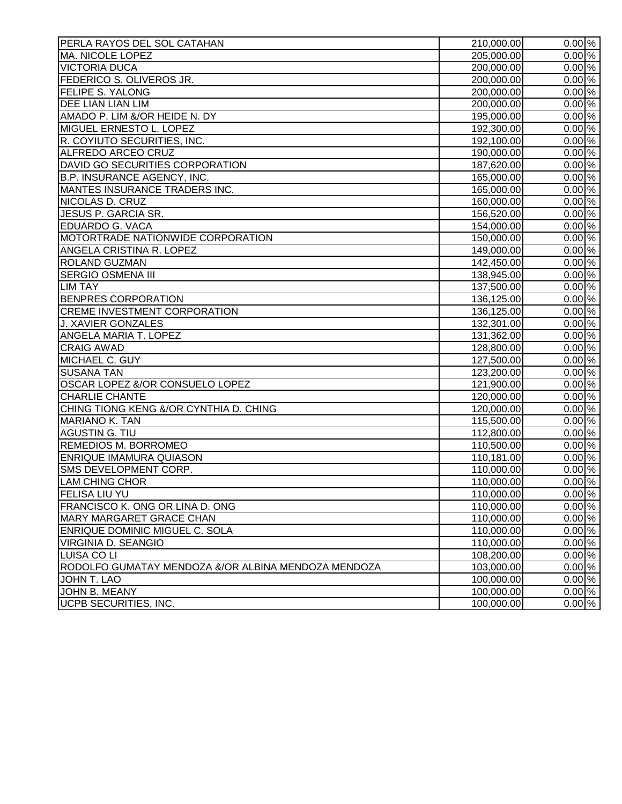| PERLA RAYOS DEL SOL CATAHAN                         | 210,000.00 | $0.00\%$            |
|-----------------------------------------------------|------------|---------------------|
| <b>MA. NICOLE LOPEZ</b>                             | 205,000.00 | $0.00\%$            |
| <b>VICTORIA DUCA</b>                                | 200,000.00 | $0.00\%$            |
| FEDERICO S. OLIVEROS JR.                            | 200,000.00 | $0.00\%$            |
| <b>FELIPE S. YALONG</b>                             | 200,000.00 | $0.00\%$            |
| <b>DEE LIAN LIAN LIM</b>                            | 200,000.00 | $0.00\%$            |
| AMADO P. LIM &/OR HEIDE N. DY                       | 195,000.00 | $0.00\%$            |
| MIGUEL ERNESTO L. LOPEZ                             | 192,300.00 | 0.00%               |
| R. COYIUTO SECURITIES, INC.                         | 192,100.00 | $0.00\%$            |
| ALFREDO ARCEO CRUZ                                  | 190,000.00 | $0.00\%$            |
| DAVID GO SECURITIES CORPORATION                     | 187,620.00 | $0.00\%$            |
| <b>B.P. INSURANCE AGENCY, INC.</b>                  | 165,000.00 | $0.00\%$            |
| MANTES INSURANCE TRADERS INC.                       | 165,000.00 | 0.00%               |
| NICOLAS D. CRUZ                                     | 160,000.00 | $0.00\%$            |
| JESUS P. GARCIA SR.                                 | 156,520.00 | $0.00\%$            |
| <b>EDUARDO G. VACA</b>                              | 154,000.00 | $0.00\%$            |
| MOTORTRADE NATIONWIDE CORPORATION                   | 150,000.00 | 0.00%               |
| ANGELA CRISTINA R. LOPEZ                            | 149,000.00 | $0.00\%$            |
| <b>ROLAND GUZMAN</b>                                | 142,450.00 | $0.00\%$            |
| <b>SERGIO OSMENA III</b>                            | 138,945.00 | $0.00\%$            |
| <b>LIM TAY</b>                                      | 137,500.00 | 0.00%               |
| <b>BENPRES CORPORATION</b>                          | 136,125.00 | $0.00\%$            |
| <b>CREME INVESTMENT CORPORATION</b>                 | 136,125.00 | $0.00\%$            |
| <b>J. XAVIER GONZALES</b>                           | 132,301.00 | $\overline{0.00}$ % |
| ANGELA MARIA T. LOPEZ                               | 131,362.00 | $0.00\%$            |
| <b>CRAIG AWAD</b>                                   | 128,800.00 | 0.00%               |
| MICHAEL C. GUY                                      | 127,500.00 | $0.00\%$            |
| <b>SUSANA TAN</b>                                   | 123,200.00 | $0.00\%$            |
| OSCAR LOPEZ &/OR CONSUELO LOPEZ                     | 121,900.00 | $0.00\%$            |
| <b>CHARLIE CHANTE</b>                               | 120,000.00 | 0.00%               |
| CHING TIONG KENG &/OR CYNTHIA D. CHING              | 120,000.00 | $0.00\%$            |
| <b>MARIANO K. TAN</b>                               | 115,500.00 | $0.00\%$            |
| AGUSTIN G. TIU                                      | 112,800.00 | $0.00\%$            |
| <b>REMEDIOS M. BORROMEO</b>                         | 110,500.00 | $0.00\%$            |
| <b>ENRIQUE IMAMURA QUIASON</b>                      | 110,181.00 | 0.00%               |
| SMS DEVELOPMENT CORP.                               | 110,000.00 | $0.00\%$            |
| <b>LAM CHING CHOR</b>                               | 110,000.00 | $0.00\%$            |
| JFELISA LIU YU                                      | 110,000.00 | $0.00\%$            |
| FRANCISCO K. ONG OR LINA D. ONG                     | 110,000.00 | $0.00\%$            |
| MARY MARGARET GRACE CHAN                            | 110,000.00 | 0.00%               |
| <b>ENRIQUE DOMINIC MIGUEL C. SOLA</b>               | 110,000.00 | $0.00\%$            |
| <b>VIRGINIA D. SEANGIO</b>                          | 110,000.00 | $0.00\%$            |
| <b>LUISA COLI</b>                                   | 108,200.00 | $0.00\%$            |
| RODOLFO GUMATAY MENDOZA &/OR ALBINA MENDOZA MENDOZA | 103,000.00 | $\overline{0.00}$ % |
| JOHN T. LAO                                         | 100,000.00 | $0.00\%$            |
| JOHN B. MEANY                                       | 100,000.00 | $0.00\%$            |
| <b>UCPB SECURITIES, INC.</b>                        | 100,000.00 | $0.00\%$            |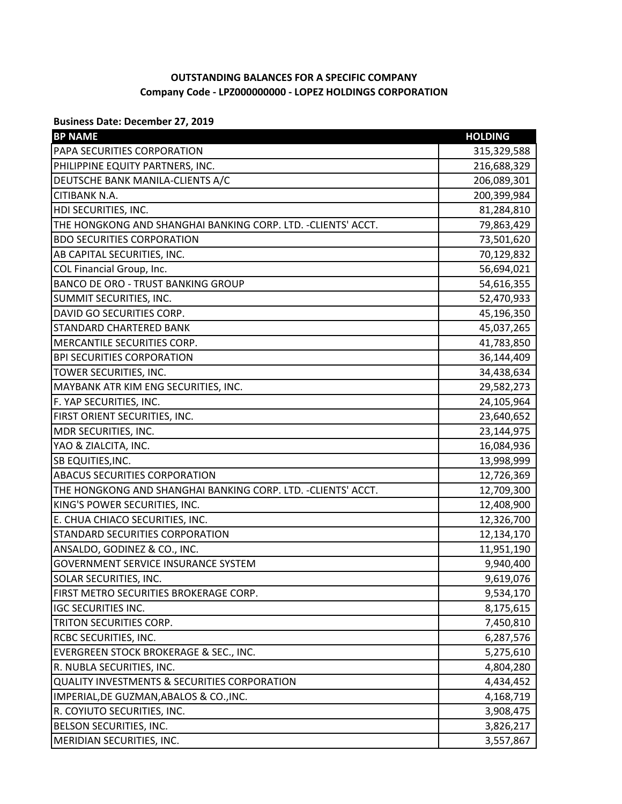## **OUTSTANDING BALANCES FOR A SPECIFIC COMPANY Company Code - LPZ000000000 - LOPEZ HOLDINGS CORPORATION**

**Business Date: December 27, 2019**

| <b>BP NAME</b>                                                | <b>HOLDING</b> |
|---------------------------------------------------------------|----------------|
| PAPA SECURITIES CORPORATION                                   | 315,329,588    |
| PHILIPPINE EQUITY PARTNERS, INC.                              | 216,688,329    |
| DEUTSCHE BANK MANILA-CLIENTS A/C                              | 206,089,301    |
| CITIBANK N.A.                                                 | 200,399,984    |
| HDI SECURITIES, INC.                                          | 81,284,810     |
| THE HONGKONG AND SHANGHAI BANKING CORP. LTD. - CLIENTS' ACCT. | 79,863,429     |
| <b>BDO SECURITIES CORPORATION</b>                             | 73,501,620     |
| AB CAPITAL SECURITIES, INC.                                   | 70,129,832     |
| COL Financial Group, Inc.                                     | 56,694,021     |
| <b>BANCO DE ORO - TRUST BANKING GROUP</b>                     | 54,616,355     |
| SUMMIT SECURITIES, INC.                                       | 52,470,933     |
| DAVID GO SECURITIES CORP.                                     | 45,196,350     |
| <b>STANDARD CHARTERED BANK</b>                                | 45,037,265     |
| MERCANTILE SECURITIES CORP.                                   | 41,783,850     |
| <b>BPI SECURITIES CORPORATION</b>                             | 36,144,409     |
| TOWER SECURITIES, INC.                                        | 34,438,634     |
| MAYBANK ATR KIM ENG SECURITIES, INC.                          | 29,582,273     |
| F. YAP SECURITIES, INC.                                       | 24,105,964     |
| FIRST ORIENT SECURITIES, INC.                                 | 23,640,652     |
| MDR SECURITIES, INC.                                          | 23,144,975     |
| YAO & ZIALCITA, INC.                                          | 16,084,936     |
| SB EQUITIES, INC.                                             | 13,998,999     |
| <b>ABACUS SECURITIES CORPORATION</b>                          | 12,726,369     |
| THE HONGKONG AND SHANGHAI BANKING CORP. LTD. - CLIENTS' ACCT. | 12,709,300     |
| KING'S POWER SECURITIES, INC.                                 | 12,408,900     |
| E. CHUA CHIACO SECURITIES, INC.                               | 12,326,700     |
| STANDARD SECURITIES CORPORATION                               | 12,134,170     |
| ANSALDO, GODINEZ & CO., INC.                                  | 11,951,190     |
| <b>GOVERNMENT SERVICE INSURANCE SYSTEM</b>                    | 9,940,400      |
| <b>SOLAR SECURITIES, INC.</b>                                 | 9,619,076      |
| FIRST METRO SECURITIES BROKERAGE CORP.                        | 9,534,170      |
| <b>IGC SECURITIES INC.</b>                                    | 8,175,615      |
| TRITON SECURITIES CORP.                                       | 7,450,810      |
| RCBC SECURITIES, INC.                                         | 6,287,576      |
| EVERGREEN STOCK BROKERAGE & SEC., INC.                        | 5,275,610      |
| R. NUBLA SECURITIES, INC.                                     | 4,804,280      |
| <b>QUALITY INVESTMENTS &amp; SECURITIES CORPORATION</b>       | 4,434,452      |
| IMPERIAL, DE GUZMAN, ABALOS & CO., INC.                       | 4,168,719      |
| R. COYIUTO SECURITIES, INC.                                   | 3,908,475      |
| BELSON SECURITIES, INC.                                       | 3,826,217      |
| MERIDIAN SECURITIES, INC.                                     | 3,557,867      |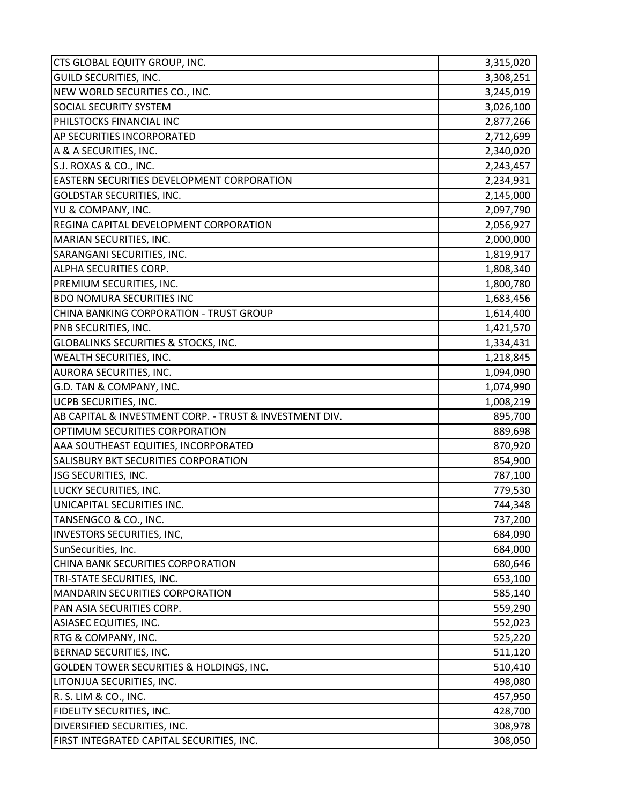| CTS GLOBAL EQUITY GROUP, INC.                                             | 3,315,020          |
|---------------------------------------------------------------------------|--------------------|
| <b>GUILD SECURITIES, INC.</b>                                             | 3,308,251          |
| NEW WORLD SECURITIES CO., INC.                                            | 3,245,019          |
| <b>SOCIAL SECURITY SYSTEM</b>                                             | 3,026,100          |
| PHILSTOCKS FINANCIAL INC                                                  | 2,877,266          |
| AP SECURITIES INCORPORATED                                                | 2,712,699          |
| A & A SECURITIES, INC.                                                    | 2,340,020          |
| S.J. ROXAS & CO., INC.                                                    | 2,243,457          |
| EASTERN SECURITIES DEVELOPMENT CORPORATION                                | 2,234,931          |
| <b>GOLDSTAR SECURITIES, INC.</b>                                          | 2,145,000          |
| YU & COMPANY, INC.                                                        | 2,097,790          |
| REGINA CAPITAL DEVELOPMENT CORPORATION                                    | 2,056,927          |
| MARIAN SECURITIES, INC.                                                   | 2,000,000          |
| SARANGANI SECURITIES, INC.                                                | 1,819,917          |
| ALPHA SECURITIES CORP.                                                    | 1,808,340          |
| PREMIUM SECURITIES, INC.                                                  | 1,800,780          |
| <b>BDO NOMURA SECURITIES INC</b>                                          | 1,683,456          |
| CHINA BANKING CORPORATION - TRUST GROUP                                   | 1,614,400          |
| PNB SECURITIES, INC.                                                      | 1,421,570          |
| <b>GLOBALINKS SECURITIES &amp; STOCKS, INC.</b>                           | 1,334,431          |
| WEALTH SECURITIES, INC.                                                   | 1,218,845          |
| AURORA SECURITIES, INC.                                                   | 1,094,090          |
| G.D. TAN & COMPANY, INC.                                                  | 1,074,990          |
| UCPB SECURITIES, INC.                                                     | 1,008,219          |
| AB CAPITAL & INVESTMENT CORP. - TRUST & INVESTMENT DIV.                   | 895,700            |
| OPTIMUM SECURITIES CORPORATION                                            | 889,698            |
| AAA SOUTHEAST EQUITIES, INCORPORATED                                      | 870,920            |
| SALISBURY BKT SECURITIES CORPORATION                                      | 854,900            |
| JSG SECURITIES, INC.                                                      | 787,100            |
| LUCKY SECURITIES, INC.                                                    | 779,530            |
| UNICAPITAL SECURITIES INC.                                                | 744,348            |
| TANSENGCO & CO., INC.                                                     | 737,200            |
| INVESTORS SECURITIES, INC,                                                | 684,090            |
| SunSecurities, Inc.                                                       | 684,000            |
| CHINA BANK SECURITIES CORPORATION                                         | 680,646            |
| TRI-STATE SECURITIES, INC.                                                | 653,100            |
| MANDARIN SECURITIES CORPORATION                                           | 585,140            |
| PAN ASIA SECURITIES CORP.                                                 | 559,290            |
| ASIASEC EQUITIES, INC.                                                    | 552,023            |
| RTG & COMPANY, INC.                                                       | 525,220            |
| BERNAD SECURITIES, INC.                                                   | 511,120            |
| GOLDEN TOWER SECURITIES & HOLDINGS, INC.                                  | 510,410            |
|                                                                           |                    |
| LITONJUA SECURITIES, INC.                                                 | 498,080            |
| R. S. LIM & CO., INC.                                                     | 457,950            |
| FIDELITY SECURITIES, INC.                                                 | 428,700            |
| DIVERSIFIED SECURITIES, INC.<br>FIRST INTEGRATED CAPITAL SECURITIES, INC. | 308,978<br>308,050 |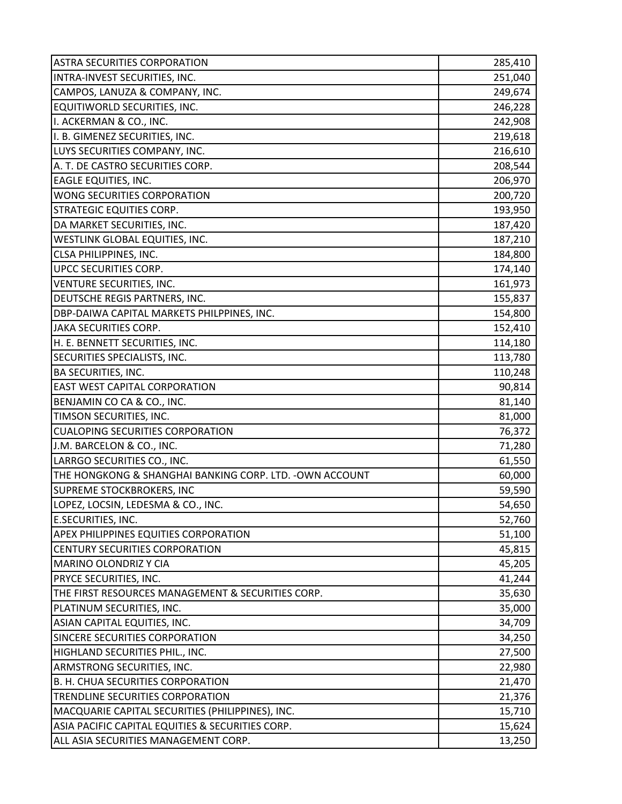| <b>ASTRA SECURITIES CORPORATION</b>                      | 285,410 |
|----------------------------------------------------------|---------|
| INTRA-INVEST SECURITIES, INC.                            | 251,040 |
| CAMPOS, LANUZA & COMPANY, INC.                           | 249,674 |
| EQUITIWORLD SECURITIES, INC.                             | 246,228 |
| I. ACKERMAN & CO., INC.                                  | 242,908 |
| I. B. GIMENEZ SECURITIES, INC.                           | 219,618 |
| LUYS SECURITIES COMPANY, INC.                            | 216,610 |
| A. T. DE CASTRO SECURITIES CORP.                         | 208,544 |
| <b>EAGLE EQUITIES, INC.</b>                              | 206,970 |
| WONG SECURITIES CORPORATION                              | 200,720 |
| <b>STRATEGIC EQUITIES CORP.</b>                          | 193,950 |
| DA MARKET SECURITIES, INC.                               | 187,420 |
| WESTLINK GLOBAL EQUITIES, INC.                           | 187,210 |
| CLSA PHILIPPINES, INC.                                   | 184,800 |
| UPCC SECURITIES CORP.                                    | 174,140 |
| VENTURE SECURITIES, INC.                                 | 161,973 |
| DEUTSCHE REGIS PARTNERS, INC.                            | 155,837 |
| DBP-DAIWA CAPITAL MARKETS PHILPPINES, INC.               | 154,800 |
| JAKA SECURITIES CORP.                                    | 152,410 |
| H. E. BENNETT SECURITIES, INC.                           | 114,180 |
| SECURITIES SPECIALISTS, INC.                             | 113,780 |
| <b>BA SECURITIES, INC.</b>                               | 110,248 |
| <b>EAST WEST CAPITAL CORPORATION</b>                     | 90,814  |
| BENJAMIN CO CA & CO., INC.                               | 81,140  |
| TIMSON SECURITIES, INC.                                  | 81,000  |
| <b>CUALOPING SECURITIES CORPORATION</b>                  | 76,372  |
| J.M. BARCELON & CO., INC.                                | 71,280  |
| LARRGO SECURITIES CO., INC.                              | 61,550  |
| THE HONGKONG & SHANGHAI BANKING CORP. LTD. - OWN ACCOUNT | 60,000  |
| SUPREME STOCKBROKERS, INC                                | 59,590  |
| LOPEZ, LOCSIN, LEDESMA & CO., INC.                       | 54,650  |
| <b>E.SECURITIES, INC.</b>                                | 52,760  |
| APEX PHILIPPINES EQUITIES CORPORATION                    | 51,100  |
| CENTURY SECURITIES CORPORATION                           | 45,815  |
| MARINO OLONDRIZ Y CIA                                    | 45,205  |
| PRYCE SECURITIES, INC.                                   | 41,244  |
| THE FIRST RESOURCES MANAGEMENT & SECURITIES CORP.        | 35,630  |
| PLATINUM SECURITIES, INC.                                | 35,000  |
| ASIAN CAPITAL EQUITIES, INC.                             | 34,709  |
| SINCERE SECURITIES CORPORATION                           | 34,250  |
| HIGHLAND SECURITIES PHIL., INC.                          | 27,500  |
| ARMSTRONG SECURITIES, INC.                               | 22,980  |
| B. H. CHUA SECURITIES CORPORATION                        | 21,470  |
| TRENDLINE SECURITIES CORPORATION                         | 21,376  |
| MACQUARIE CAPITAL SECURITIES (PHILIPPINES), INC.         | 15,710  |
| ASIA PACIFIC CAPITAL EQUITIES & SECURITIES CORP.         | 15,624  |
| ALL ASIA SECURITIES MANAGEMENT CORP.                     | 13,250  |